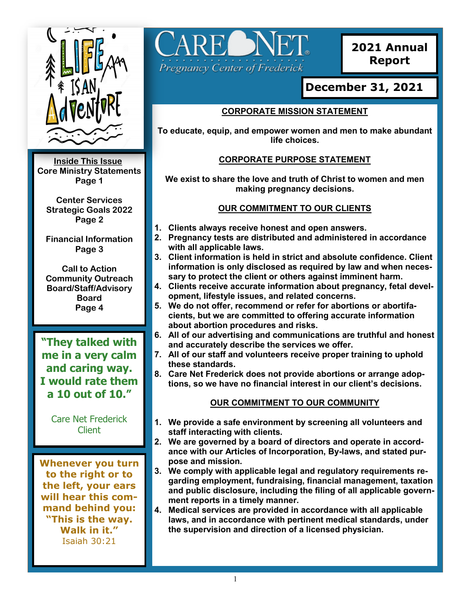

**Inside This Issue: Core Ministry Statements Page 1**

**Center Services Strategic Goals 2022 Page 2**

**Financial Information Page 3**

**Call to Action Community Outreach Board/Staff/Advisory Board Page 4**

**"They talked with me in a very calm and caring way. I would rate them a 10 out of 10."**

> Care Net Frederick Client

**Whenever you turn to the right or to the left, your ears will hear this command behind you: "This is the way. Walk in it."** Isaiah 30:21



**2021 Annual Report**

# **December 31, 2021**

# **CORPORATE MISSION STATEMENT**

**To educate, equip, and empower women and men to make abundant life choices.**

# **CORPORATE PURPOSE STATEMENT**

**We exist to share the love and truth of Christ to women and men making pregnancy decisions.** 

## **OUR COMMITMENT TO OUR CLIENTS**

- **1. Clients always receive honest and open answers.**
- **2. Pregnancy tests are distributed and administered in accordance with all applicable laws.**
- **3. Client information is held in strict and absolute confidence. Client information is only disclosed as required by law and when necessary to protect the client or others against imminent harm.**
- **4. Clients receive accurate information about pregnancy, fetal development, lifestyle issues, and related concerns.**
- **5. We do not offer, recommend or refer for abortions or abortifacients, but we are committed to offering accurate information about abortion procedures and risks.**
- **6. All of our advertising and communications are truthful and honest and accurately describe the services we offer.**
- **7. All of our staff and volunteers receive proper training to uphold these standards.**
- **8. Care Net Frederick does not provide abortions or arrange adoptions, so we have no financial interest in our client's decisions.**

# **OUR COMMITMENT TO OUR COMMUNITY**

- **1. We provide a safe environment by screening all volunteers and staff interacting with clients.**
- **2. We are governed by a board of directors and operate in accordance with our Articles of Incorporation, By-laws, and stated purpose and mission.**
- **3. We comply with applicable legal and regulatory requirements regarding employment, fundraising, financial management, taxation and public disclosure, including the filing of all applicable government reports in a timely manner.**
- **4. Medical services are provided in accordance with all applicable laws, and in accordance with pertinent medical standards, under the supervision and direction of a licensed physician.**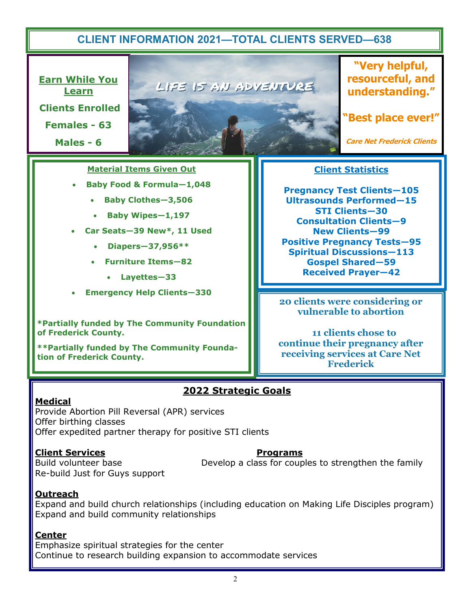# **CLIENT INFORMATION 2021—TOTAL CLIENTS SERVED—638**

**Earn While You Learn Clients Enrolled Females - 63**

**Males - 6**



**"Very helpful, resourceful, and understanding."**

**"Best place ever!"**

**Care Net Frederick Clients**

#### **Material Items Given Out**

- **Baby Food & Formula—1,048**
	- **Baby Clothes—3,506**
	- **Baby Wipes—1,197**
- **Car Seats—39 New\*, 11 Used**
	- **Diapers—37,956\*\***
	- **Furniture Items—82**
		- **Layettes—33**
- **Emergency Help Clients—330**

**\*Partially funded by The Community Foundation of Frederick County.**

**\*\*Partially funded by The Community Foundation of Frederick County.** 

### **Client Statistics**

**Pregnancy Test Clients—105 Ultrasounds Performed—15 STI Clients—30 Consultation Clients—9 New Clients—99 Positive Pregnancy Tests—95 Spiritual Discussions—113 Gospel Shared—59 Received Prayer—42**

**20 clients were considering or vulnerable to abortion** 

 **11 clients chose to continue their pregnancy after receiving services at Care Net Frederick**

# **2022 Strategic Goals**

#### **Medical**

Provide Abortion Pill Reversal (APR) services Offer birthing classes Offer expedited partner therapy for positive STI clients

#### **Client Services Programs**

Re-build Just for Guys support

Build volunteer base The Section 2 Develop a class for couples to strengthen the family

#### **Outreach**

Expand and build church relationships (including education on Making Life Disciples program) Expand and build community relationships

#### **Center**

Emphasize spiritual strategies for the center Continue to research building expansion to accommodate services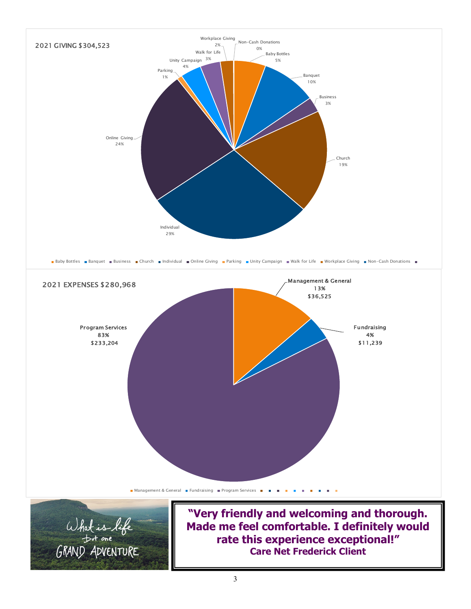